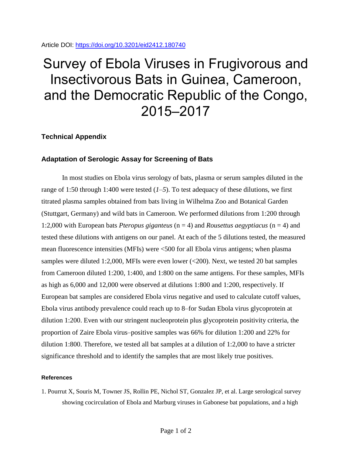Article DOI:<https://doi.org/10.3201/eid2412.180740>

## Survey of Ebola Viruses in Frugivorous and Insectivorous Bats in Guinea, Cameroon, and the Democratic Republic of the Congo, 2015–2017

## **Technical Appendix**

## **Adaptation of Serologic Assay for Screening of Bats**

In most studies on Ebola virus serology of bats, plasma or serum samples diluted in the range of 1:50 through 1:400 were tested  $(I-5)$ . To test adequacy of these dilutions, we first titrated plasma samples obtained from bats living in Wilhelma Zoo and Botanical Garden (Stuttgart, Germany) and wild bats in Cameroon. We performed dilutions from 1:200 through 1:2,000 with European bats *Pteropus giganteus* (n = 4) and *Rousettus aegyptiacus* (n = 4) and tested these dilutions with antigens on our panel. At each of the 5 dilutions tested, the measured mean fluorescence intensities (MFIs) were <500 for all Ebola virus antigens; when plasma samples were diluted 1:2,000, MFIs were even lower (<200). Next, we tested 20 bat samples from Cameroon diluted 1:200, 1:400, and 1:800 on the same antigens. For these samples, MFIs as high as 6,000 and 12,000 were observed at dilutions 1:800 and 1:200, respectively. If European bat samples are considered Ebola virus negative and used to calculate cutoff values, Ebola virus antibody prevalence could reach up to 8–for Sudan Ebola virus glycoprotein at dilution 1:200. Even with our stringent nucleoprotein plus glycoprotein positivity criteria, the proportion of Zaire Ebola virus–positive samples was 66% for dilution 1:200 and 22% for dilution 1:800. Therefore, we tested all bat samples at a dilution of 1:2,000 to have a stricter significance threshold and to identify the samples that are most likely true positives.

## **References**

1. Pourrut X, Souris M, Towner JS, Rollin PE, Nichol ST, Gonzalez JP, et al. Large serological survey showing cocirculation of Ebola and Marburg viruses in Gabonese bat populations, and a high